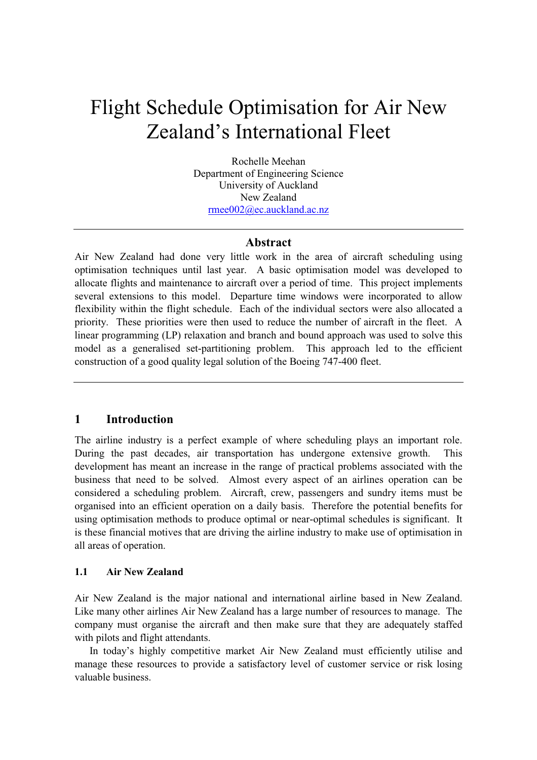# Flight Schedule Optimisation for Air New Zealand's International Fleet

Rochelle Meehan Department of Engineering Science University of Auckland New Zealand rmee002@ec.auckland.ac.nz

## Abstract

Air New Zealand had done very little work in the area of aircraft scheduling using optimisation techniques until last year. A basic optimisation model was developed to allocate flights and maintenance to aircraft over a period of time. This project implements several extensions to this model. Departure time windows were incorporated to allow flexibility within the flight schedule. Each of the individual sectors were also allocated a priority. These priorities were then used to reduce the number of aircraft in the fleet. A linear programming (LP) relaxation and branch and bound approach was used to solve this model as a generalised set-partitioning problem. This approach led to the efficient construction of a good quality legal solution of the Boeing 747-400 fleet.

## 1 Introduction

The airline industry is a perfect example of where scheduling plays an important role. During the past decades, air transportation has undergone extensive growth. This development has meant an increase in the range of practical problems associated with the business that need to be solved. Almost every aspect of an airlines operation can be considered a scheduling problem. Aircraft, crew, passengers and sundry items must be organised into an efficient operation on a daily basis. Therefore the potential benefits for using optimisation methods to produce optimal or near-optimal schedules is significant. It is these financial motives that are driving the airline industry to make use of optimisation in all areas of operation.

# 1.1 Air New Zealand

Air New Zealand is the major national and international airline based in New Zealand. Like many other airlines Air New Zealand has a large number of resources to manage. The company must organise the aircraft and then make sure that they are adequately staffed with pilots and flight attendants.

In today's highly competitive market Air New Zealand must efficiently utilise and manage these resources to provide a satisfactory level of customer service or risk losing valuable business.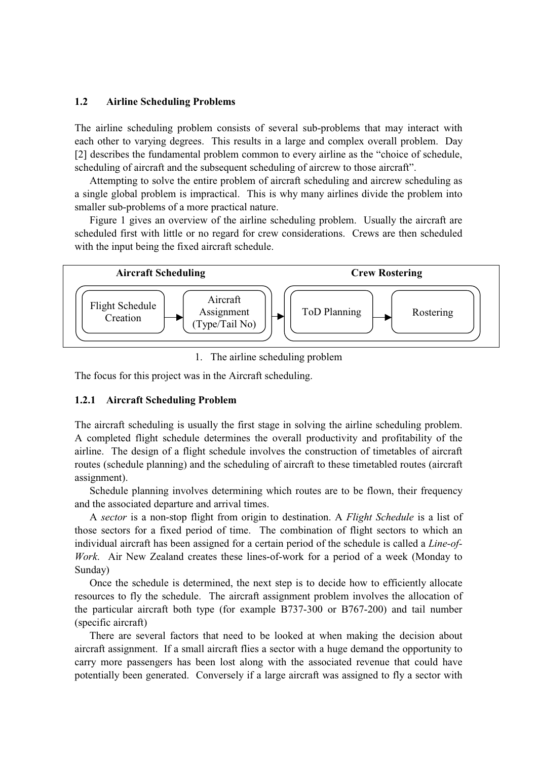#### 1.2 Airline Scheduling Problems

The airline scheduling problem consists of several sub-problems that may interact with each other to varying degrees. This results in a large and complex overall problem. Day [2] describes the fundamental problem common to every airline as the "choice of schedule, scheduling of aircraft and the subsequent scheduling of aircrew to those aircraft".

Attempting to solve the entire problem of aircraft scheduling and aircrew scheduling as a single global problem is impractical. This is why many airlines divide the problem into smaller sub-problems of a more practical nature.

Figure 1 gives an overview of the airline scheduling problem. Usually the aircraft are scheduled first with little or no regard for crew considerations. Crews are then scheduled with the input being the fixed aircraft schedule.



1. The airline scheduling problem

The focus for this project was in the Aircraft scheduling.

## 1.2.1 Aircraft Scheduling Problem

The aircraft scheduling is usually the first stage in solving the airline scheduling problem. A completed flight schedule determines the overall productivity and profitability of the airline. The design of a flight schedule involves the construction of timetables of aircraft routes (schedule planning) and the scheduling of aircraft to these timetabled routes (aircraft assignment).

Schedule planning involves determining which routes are to be flown, their frequency and the associated departure and arrival times.

A sector is a non-stop flight from origin to destination. A Flight Schedule is a list of those sectors for a fixed period of time. The combination of flight sectors to which an individual aircraft has been assigned for a certain period of the schedule is called a Line-of-Work. Air New Zealand creates these lines-of-work for a period of a week (Monday to Sunday)

Once the schedule is determined, the next step is to decide how to efficiently allocate resources to fly the schedule. The aircraft assignment problem involves the allocation of the particular aircraft both type (for example B737-300 or B767-200) and tail number (specific aircraft)

There are several factors that need to be looked at when making the decision about aircraft assignment. If a small aircraft flies a sector with a huge demand the opportunity to carry more passengers has been lost along with the associated revenue that could have potentially been generated. Conversely if a large aircraft was assigned to fly a sector with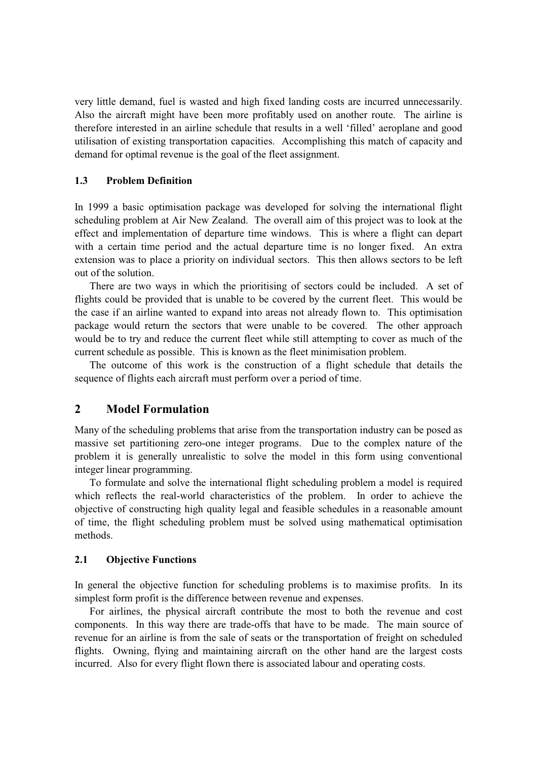very little demand, fuel is wasted and high fixed landing costs are incurred unnecessarily. Also the aircraft might have been more profitably used on another route. The airline is therefore interested in an airline schedule that results in a well 'filled' aeroplane and good utilisation of existing transportation capacities. Accomplishing this match of capacity and demand for optimal revenue is the goal of the fleet assignment.

## 1.3 Problem Definition

In 1999 a basic optimisation package was developed for solving the international flight scheduling problem at Air New Zealand. The overall aim of this project was to look at the effect and implementation of departure time windows. This is where a flight can depart with a certain time period and the actual departure time is no longer fixed. An extra extension was to place a priority on individual sectors. This then allows sectors to be left out of the solution.

There are two ways in which the prioritising of sectors could be included. A set of flights could be provided that is unable to be covered by the current fleet. This would be the case if an airline wanted to expand into areas not already flown to. This optimisation package would return the sectors that were unable to be covered. The other approach would be to try and reduce the current fleet while still attempting to cover as much of the current schedule as possible. This is known as the fleet minimisation problem.

The outcome of this work is the construction of a flight schedule that details the sequence of flights each aircraft must perform over a period of time.

# 2 Model Formulation

Many of the scheduling problems that arise from the transportation industry can be posed as massive set partitioning zero-one integer programs. Due to the complex nature of the problem it is generally unrealistic to solve the model in this form using conventional integer linear programming.

To formulate and solve the international flight scheduling problem a model is required which reflects the real-world characteristics of the problem. In order to achieve the objective of constructing high quality legal and feasible schedules in a reasonable amount of time, the flight scheduling problem must be solved using mathematical optimisation methods.

## 2.1 Objective Functions

In general the objective function for scheduling problems is to maximise profits. In its simplest form profit is the difference between revenue and expenses.

For airlines, the physical aircraft contribute the most to both the revenue and cost components. In this way there are trade-offs that have to be made. The main source of revenue for an airline is from the sale of seats or the transportation of freight on scheduled flights. Owning, flying and maintaining aircraft on the other hand are the largest costs incurred. Also for every flight flown there is associated labour and operating costs.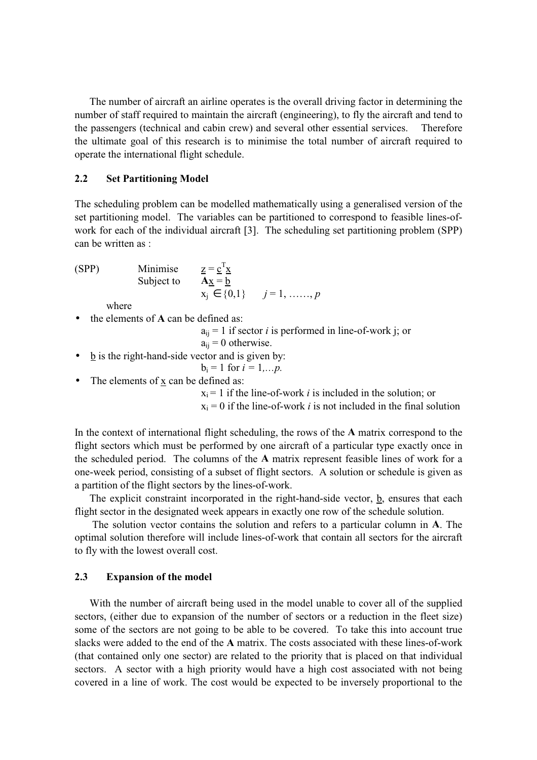The number of aircraft an airline operates is the overall driving factor in determining the number of staff required to maintain the aircraft (engineering), to fly the aircraft and tend to the passengers (technical and cabin crew) and several other essential services. Therefore the ultimate goal of this research is to minimise the total number of aircraft required to operate the international flight schedule.

#### 2.2 Set Partitioning Model

The scheduling problem can be modelled mathematically using a generalised version of the set partitioning model. The variables can be partitioned to correspond to feasible lines-ofwork for each of the individual aircraft [3]. The scheduling set partitioning problem (SPP) can be written as :

(SPP) Minimise

(SPP) Minimise 
$$
\underline{z} = \underline{c}^T \underline{x}
$$
  
Subject to  $\overline{A\underline{x}} = \underline{b}$   
 $x_j \in \{0,1\}$   $j = 1, ......., p$ 

where

• the elements of **A** can be defined as:

 $a_{ii} = 1$  if sector *i* is performed in line-of-work j; or  $a_{ii} = 0$  otherwise.

• b is the right-hand-side vector and is given by:

$$
b_i = 1
$$
 for  $i = 1,...p$ .

• The elements of  $\underline{x}$  can be defined as:

 $x_i = 1$  if the line-of-work *i* is included in the solution; or

 $x_i = 0$  if the line-of-work *i* is not included in the final solution

In the context of international flight scheduling, the rows of the A matrix correspond to the flight sectors which must be performed by one aircraft of a particular type exactly once in the scheduled period. The columns of the A matrix represent feasible lines of work for a one-week period, consisting of a subset of flight sectors. A solution or schedule is given as a partition of the flight sectors by the lines-of-work.

The explicit constraint incorporated in the right-hand-side vector, b, ensures that each flight sector in the designated week appears in exactly one row of the schedule solution.

The solution vector contains the solution and refers to a particular column in A. The optimal solution therefore will include lines-of-work that contain all sectors for the aircraft to fly with the lowest overall cost.

#### 2.3 Expansion of the model

With the number of aircraft being used in the model unable to cover all of the supplied sectors, (either due to expansion of the number of sectors or a reduction in the fleet size) some of the sectors are not going to be able to be covered. To take this into account true slacks were added to the end of the A matrix. The costs associated with these lines-of-work (that contained only one sector) are related to the priority that is placed on that individual sectors. A sector with a high priority would have a high cost associated with not being covered in a line of work. The cost would be expected to be inversely proportional to the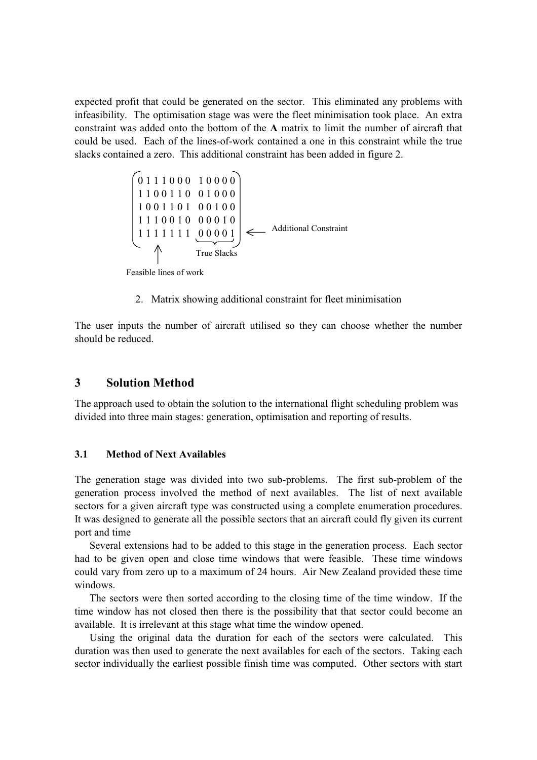expected profit that could be generated on the sector. This eliminated any problems with infeasibility. The optimisation stage was were the fleet minimisation took place. An extra constraint was added onto the bottom of the A matrix to limit the number of aircraft that could be used. Each of the lines-of-work contained a one in this constraint while the true slacks contained a zero. This additional constraint has been added in figure 2.

$$
\begin{bmatrix}\n0 & 1 & 1 & 1 & 0 & 0 & 0 & 1 & 0 & 0 & 0 & 0 \\
1 & 1 & 0 & 0 & 1 & 1 & 0 & 0 & 1 & 0 & 0 & 0 \\
1 & 0 & 0 & 1 & 1 & 0 & 1 & 0 & 0 & 0 & 1 & 0 \\
1 & 1 & 1 & 1 & 1 & 1 & 1 & 1 & 0 & 0 & 0 & 0 & 1 \\
1 & 1 & 1 & 1 & 1 & 1 & 1 & 1 & 0 & 0 & 0 & 0 & 1 \\
 & & & & & & & \text{True Slacks}\n\end{bmatrix}
$$
\n
$$
\leftarrow \text{Additional Constant}
$$

Feasible lines of work

2. Matrix showing additional constraint for fleet minimisation

The user inputs the number of aircraft utilised so they can choose whether the number should be reduced.

## 3 Solution Method

The approach used to obtain the solution to the international flight scheduling problem was divided into three main stages: generation, optimisation and reporting of results.

#### 3.1 Method of Next Availables

The generation stage was divided into two sub-problems. The first sub-problem of the generation process involved the method of next availables. The list of next available sectors for a given aircraft type was constructed using a complete enumeration procedures. It was designed to generate all the possible sectors that an aircraft could fly given its current port and time

Several extensions had to be added to this stage in the generation process. Each sector had to be given open and close time windows that were feasible. These time windows could vary from zero up to a maximum of 24 hours. Air New Zealand provided these time windows.

The sectors were then sorted according to the closing time of the time window. If the time window has not closed then there is the possibility that that sector could become an available. It is irrelevant at this stage what time the window opened.

Using the original data the duration for each of the sectors were calculated. This duration was then used to generate the next availables for each of the sectors. Taking each sector individually the earliest possible finish time was computed. Other sectors with start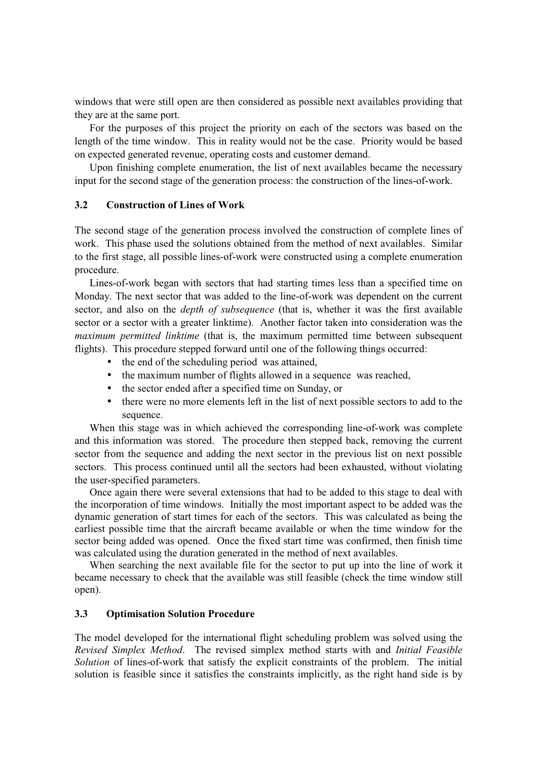windows that were still open are then considered as possible next availables providing that they are at the same port.

For the purposes of this project the priority on each of the sectors was based on the length of the time window. This in reality would not be the case. Priority would be based on expected generated revenue, operating costs and customer demand.

Upon finishing complete enumeration, the list of next availables became the necessary input for the second stage of the generation process: the construction of the lines-of-work.

#### 3.2 Construction of Lines of Work

The second stage of the generation process involved the construction of complete lines of work. This phase used the solutions obtained from the method of next availables. Similar to the first stage, all possible lines-of-work were constructed using a complete enumeration procedure.

Lines-of-work began with sectors that had starting times less than a specified time on Monday. The next sector that was added to the line-of-work was dependent on the current sector, and also on the *depth of subsequence* (that is, whether it was the first available sector or a sector with a greater linktime). Another factor taken into consideration was the maximum permitted linktime (that is, the maximum permitted time between subsequent flights). This procedure stepped forward until one of the following things occurred:

- the end of the scheduling period was attained,
- the maximum number of flights allowed in a sequence was reached,
- the sector ended after a specified time on Sunday, or
- there were no more elements left in the list of next possible sectors to add to the sequence.

When this stage was in which achieved the corresponding line-of-work was complete and this information was stored. The procedure then stepped back, removing the current sector from the sequence and adding the next sector in the previous list on next possible sectors. This process continued until all the sectors had been exhausted, without violating the user-specified parameters.

Once again there were several extensions that had to be added to this stage to deal with the incorporation of time windows. Initially the most important aspect to be added was the dynamic generation of start times for each of the sectors. This was calculated as being the earliest possible time that the aircraft became available or when the time window for the sector being added was opened. Once the fixed start time was confirmed, then finish time was calculated using the duration generated in the method of next availables.

When searching the next available file for the sector to put up into the line of work it became necessary to check that the available was still feasible (check the time window still open).

#### 3.3 Optimisation Solution Procedure

The model developed for the international flight scheduling problem was solved using the Revised Simplex Method. The revised simplex method starts with and Initial Feasible Solution of lines-of-work that satisfy the explicit constraints of the problem. The initial solution is feasible since it satisfies the constraints implicitly, as the right hand side is by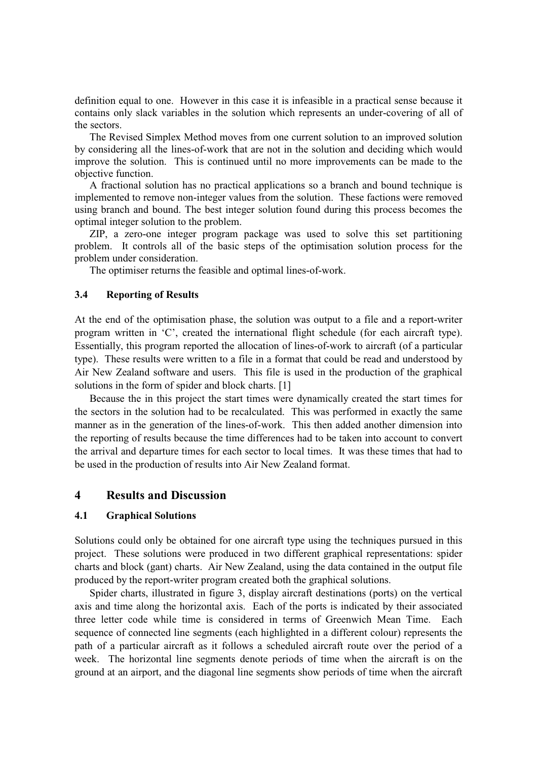definition equal to one. However in this case it is infeasible in a practical sense because it contains only slack variables in the solution which represents an under-covering of all of the sectors.

The Revised Simplex Method moves from one current solution to an improved solution by considering all the lines-of-work that are not in the solution and deciding which would improve the solution. This is continued until no more improvements can be made to the objective function.

A fractional solution has no practical applications so a branch and bound technique is implemented to remove non-integer values from the solution. These factions were removed using branch and bound. The best integer solution found during this process becomes the optimal integer solution to the problem.

ZIP, a zero-one integer program package was used to solve this set partitioning problem. It controls all of the basic steps of the optimisation solution process for the problem under consideration.

The optimiser returns the feasible and optimal lines-of-work.

#### 3.4 Reporting of Results

At the end of the optimisation phase, the solution was output to a file and a report-writer program written in 'C', created the international flight schedule (for each aircraft type). Essentially, this program reported the allocation of lines-of-work to aircraft (of a particular type). These results were written to a file in a format that could be read and understood by Air New Zealand software and users. This file is used in the production of the graphical solutions in the form of spider and block charts. [1]

Because the in this project the start times were dynamically created the start times for the sectors in the solution had to be recalculated. This was performed in exactly the same manner as in the generation of the lines-of-work. This then added another dimension into the reporting of results because the time differences had to be taken into account to convert the arrival and departure times for each sector to local times. It was these times that had to be used in the production of results into Air New Zealand format.

## 4 Results and Discussion

#### 4.1 Graphical Solutions

Solutions could only be obtained for one aircraft type using the techniques pursued in this project. These solutions were produced in two different graphical representations: spider charts and block (gant) charts. Air New Zealand, using the data contained in the output file produced by the report-writer program created both the graphical solutions.

Spider charts, illustrated in figure 3, display aircraft destinations (ports) on the vertical axis and time along the horizontal axis. Each of the ports is indicated by their associated three letter code while time is considered in terms of Greenwich Mean Time. Each sequence of connected line segments (each highlighted in a different colour) represents the path of a particular aircraft as it follows a scheduled aircraft route over the period of a week. The horizontal line segments denote periods of time when the aircraft is on the ground at an airport, and the diagonal line segments show periods of time when the aircraft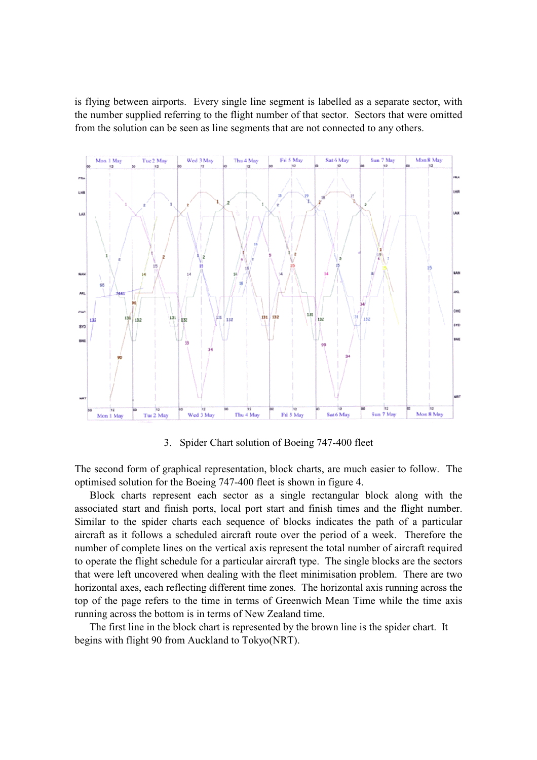is flying between airports. Every single line segment is labelled as a separate sector, with the number supplied referring to the flight number of that sector. Sectors that were omitted from the solution can be seen as line segments that are not connected to any others.



3. Spider Chart solution of Boeing 747-400 fleet

The second form of graphical representation, block charts, are much easier to follow. The optimised solution for the Boeing 747-400 fleet is shown in figure 4.

Block charts represent each sector as a single rectangular block along with the associated start and finish ports, local port start and finish times and the flight number. Similar to the spider charts each sequence of blocks indicates the path of a particular aircraft as it follows a scheduled aircraft route over the period of a week. Therefore the number of complete lines on the vertical axis represent the total number of aircraft required to operate the flight schedule for a particular aircraft type. The single blocks are the sectors that were left uncovered when dealing with the fleet minimisation problem. There are two horizontal axes, each reflecting different time zones. The horizontal axis running across the top of the page refers to the time in terms of Greenwich Mean Time while the time axis running across the bottom is in terms of New Zealand time.

The first line in the block chart is represented by the brown line is the spider chart. It begins with flight 90 from Auckland to Tokyo(NRT).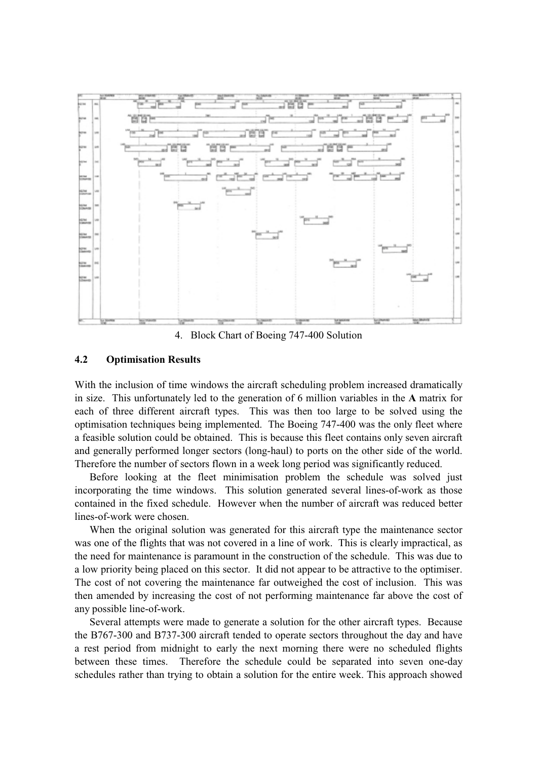

4. Block Chart of Boeing 747-400 Solution

#### 4.2 Optimisation Results

With the inclusion of time windows the aircraft scheduling problem increased dramatically in size. This unfortunately led to the generation of 6 million variables in the A matrix for each of three different aircraft types. This was then too large to be solved using the optimisation techniques being implemented. The Boeing 747-400 was the only fleet where a feasible solution could be obtained. This is because this fleet contains only seven aircraft and generally performed longer sectors (long-haul) to ports on the other side of the world. Therefore the number of sectors flown in a week long period was significantly reduced.

Before looking at the fleet minimisation problem the schedule was solved just incorporating the time windows. This solution generated several lines-of-work as those contained in the fixed schedule. However when the number of aircraft was reduced better lines-of-work were chosen.

When the original solution was generated for this aircraft type the maintenance sector was one of the flights that was not covered in a line of work. This is clearly impractical, as the need for maintenance is paramount in the construction of the schedule. This was due to a low priority being placed on this sector. It did not appear to be attractive to the optimiser. The cost of not covering the maintenance far outweighed the cost of inclusion. This was then amended by increasing the cost of not performing maintenance far above the cost of any possible line-of-work.

Several attempts were made to generate a solution for the other aircraft types. Because the B767-300 and B737-300 aircraft tended to operate sectors throughout the day and have a rest period from midnight to early the next morning there were no scheduled flights between these times. Therefore the schedule could be separated into seven one-day schedules rather than trying to obtain a solution for the entire week. This approach showed